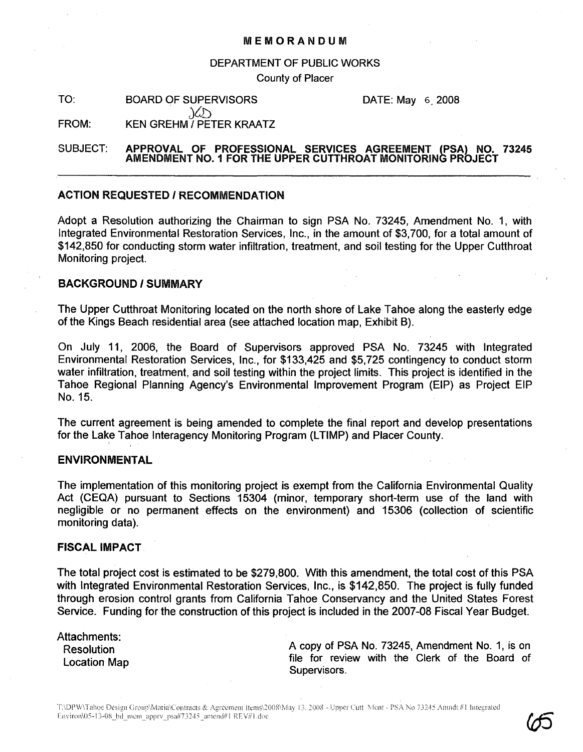#### MEMORANDUM

#### DEPARTMENT OF PUBLIC WORKS

County of Placer

TO: BOARD OF SUPERVISORS  $\chi$ 

DATE: May 6.2008

#### FROM: KEN GREHM / PETER KRAATZ

## SUBJECT: APPROVAL OF PROFESSIONAL SERVICES AGREEMENT (PSA) NO. 73245 AMENDMENT NO.1 FOR THE UPPER CUTTHROAT MONITORING PROJECT

# ACTION REQUESTED I RECOMMENDATION

Adopt a Resolution authorizing the Chairman to sign PSA No. 73245, Amendment No.1, with Integrated Environmental Restoration Services, Inc., in the amount of \$3,700, for a total amount of \$142,850 for conducting storm water infiltration, treatment, and soil testing for the Upper Cutthroat Monitoring project.

# BACKGROUND / SUMMARY

The Upper Cutthroat Monitoring located on the north shore of Lake Tahoe along the easterly edge of the Kings Beach residential area (see attached location map, Exhibit B).

On July 11, 2006, the Board of Supervisors approved PSA No. 73245 with Integrated Environmental Restoration Services, Inc., for \$133,425 and \$5,725 contingency to conduct storm water infiltration, treatment, and soil testing within the project limits. This project is identified in the Tahoe Regional Planning Agency's Environmental Improvement Program (EIP) as Project EIP No. 15.

The current agreement is being amended to complete the final report and develop presentations for the Lake Tahoe Interagency Monitoring Program (LTIMP) and Placer County.

# ENVIRONMENTAL

The implementation of this monitoring project is exempt from the California Environmental Quality Act (CEQA) pursuant to Sections 15304 (minor, temporary short-term use of the land with negligible or no permanent effects on the environment) and 15306 (collection of scientific monitoring data).

### FISCAL IMPACT

The total project cost is estimated to be \$279,800. With this amendment, the total cost of this PSA with Integrated Environmental Restoration Services, Inc., is \$142,850. The project is fully funded through erosion control grants from California Tahoe Conservancy and the United States Forest Service. Funding for the construction of this project is included in the 2007-08 Fiscal Year Budget.

Attachments: **Resolution** Location Map

A copy of PSA No. 73245, Amendment No.1, is on file for review with the Clerk of the Board of Supervisors.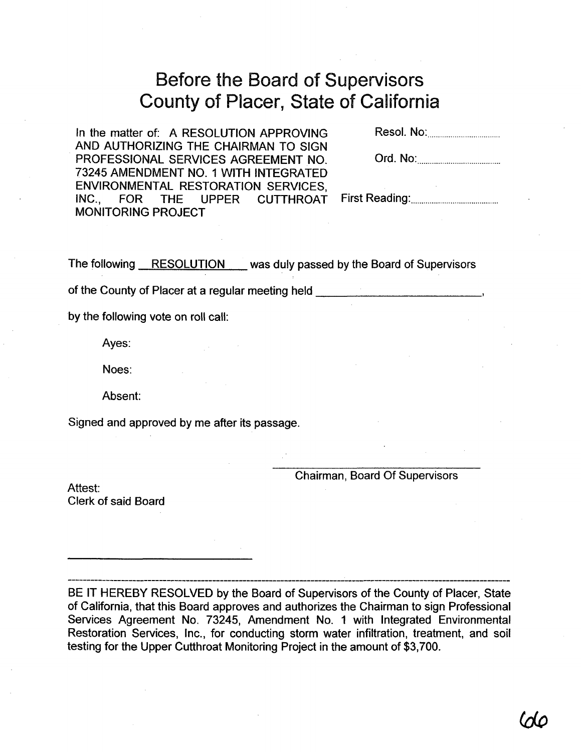# Before the Board of Supervisors County of Placer, State of California

In the matter of: A RESOLUTION APPROVING AND AUTHORIZING THE CHAIRMAN TO SIGN PROFESSIONAL SERVICES AGREEMENT NO. 73245 AMENDMENT NO.1 WITH INTEGRATED ENVIRONMENTAL RESTORATION SERVICES,<br>INC., FOR THE UPPER CUTTHROAT INC., FOR THE UPPER CUTTHROAT MONITORING PROJECT

Resol. No: .

| Ord. No: |  |
|----------|--|
|----------|--|

First Reading: .

The following RESOLUTION was duly passed by the Board of Supervisors

of the County of Placer at a regular meeting held \_

by the following vote on roll call:

Ayes:

Noes:

Absent:

Signed and approved by me after its passage.

Chairman, Board Of Supervisors

Attest: Clerk of said Board

BE IT HEREBY RESOLVED by the Board of Supervisors of the County of Placer, State of California, that this Board approves and authorizes the Chairman to sign Professional Services Agreement No. 73245, Amendment No. 1 with Integrated Environmental Restoration Services, Inc., for conducting storm water infiltration, treatment, and soil testing for the Upper Cutthroat Monitoring Project in the amount of \$3,700.